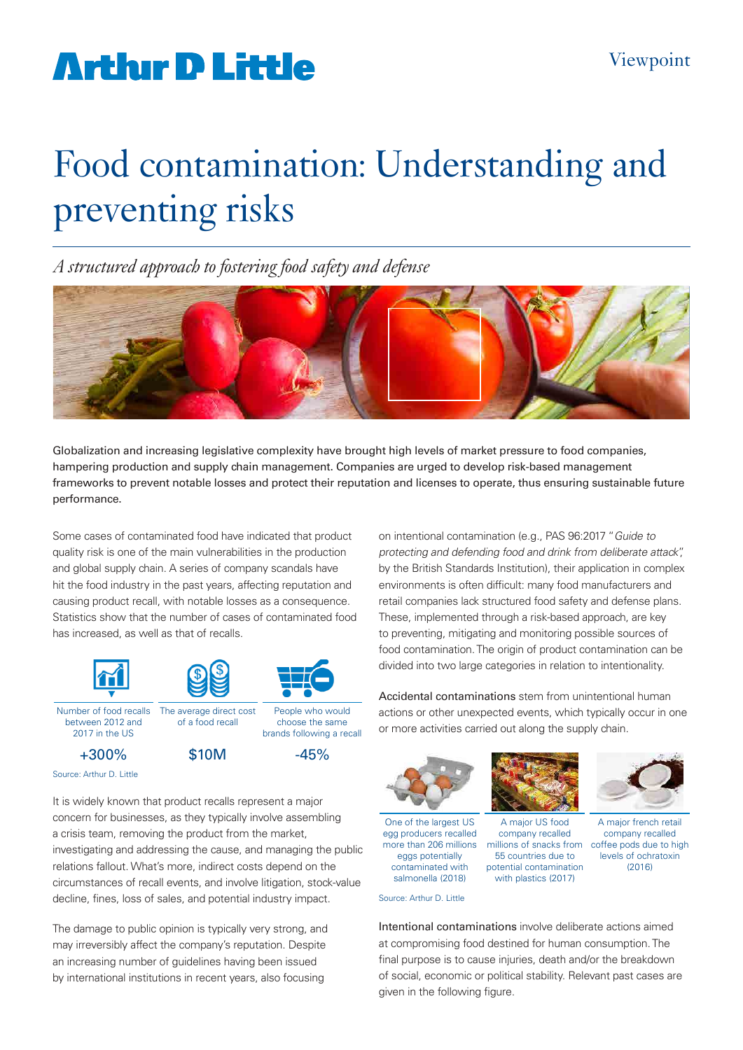## **Artlur D Little**

# Food contamination: Understanding and preventing risks

*A structured approach to fostering food safety and defense*



Globalization and increasing legislative complexity have brought high levels of market pressure to food companies, hampering production and supply chain management. Companies are urged to develop risk-based management frameworks to prevent notable losses and protect their reputation and licenses to operate, thus ensuring sustainable future performance.

Some cases of contaminated food have indicated that product quality risk is one of the main vulnerabilities in the production and global supply chain. A series of company scandals have hit the food industry in the past years, affecting reputation and causing product recall, with notable losses as a consequence. Statistics show that the number of cases of contaminated food has increased, as well as that of recalls.



2017 in the US

+300%

brands following a recall

 $$10M$   $-45%$ 

Source: Arthur D. Little

It is widely known that product recalls represent a major concern for businesses, as they typically involve assembling a crisis team, removing the product from the market, investigating and addressing the cause, and managing the public relations fallout. What's more, indirect costs depend on the circumstances of recall events, and involve litigation, stock-value decline, fines, loss of sales, and potential industry impact.

The damage to public opinion is typically very strong, and may irreversibly affect the company's reputation. Despite an increasing number of guidelines having been issued by international institutions in recent years, also focusing

on intentional contamination (e.g., PAS 96:2017 "Guide to protecting and defending food and drink from deliberate attack", by the British Standards Institution), their application in complex environments is often difficult: many food manufacturers and retail companies lack structured food safety and defense plans. These, implemented through a risk-based approach, are key to preventing, mitigating and monitoring possible sources of food contamination. The origin of product contamination can be divided into two large categories in relation to intentionality.

Accidental contaminations stem from unintentional human actions or other unexpected events, which typically occur in one or more activities carried out along the supply chain.



One of the largest US egg producers recalled more than 206 millions eggs potentially contaminated with salmonella (2018)

Source: Arthur D. Little



A major US food company recalled 55 countries due to potential contamination with plastics (2017)



A major french retail company recalled millions of snacks from coffee pods due to high levels of ochratoxin (2016)

Intentional contaminations involve deliberate actions aimed at compromising food destined for human consumption. The final purpose is to cause injuries, death and/or the breakdown of social, economic or political stability. Relevant past cases are given in the following figure.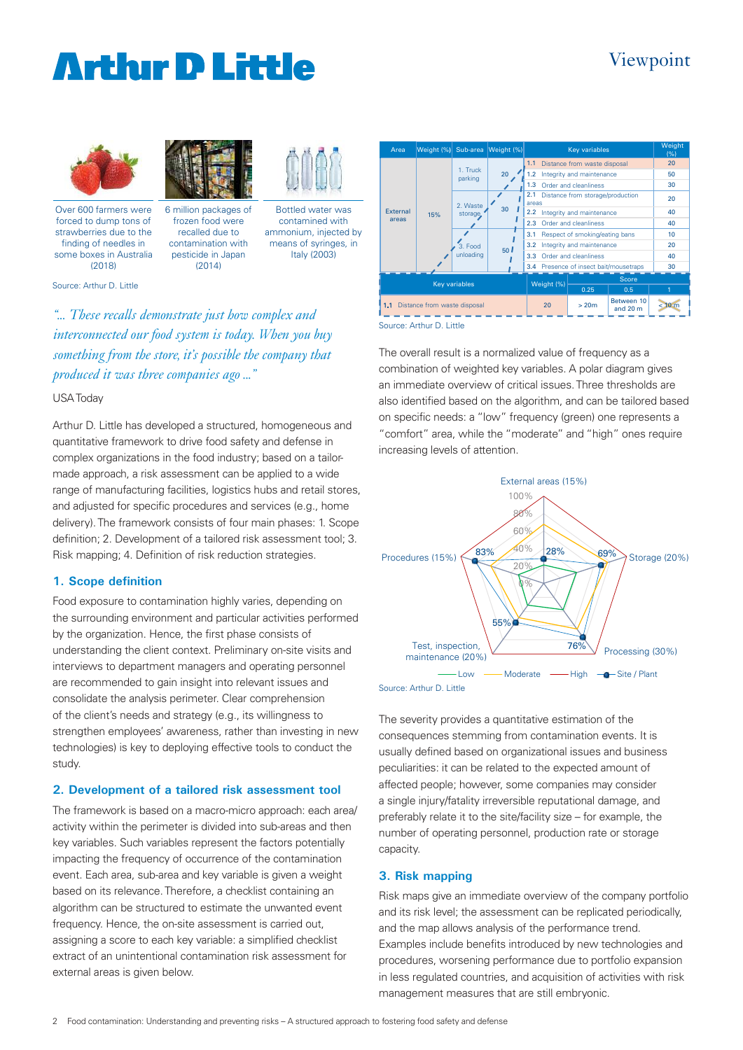### Viewpoint

### **Arthur D Little**





Over 600 farmers were forced to dump tons of strawberries due to the finding of needles in some boxes in Australia (2018)

(2014)



6 million packages of frozen food were recalled due to contamination with pesticide in Japan

Bottled water was contamined with ammonium, injected by means of syringes, in Italy (2003)

Source: Arthur D. Little

*"... These recalls demonstrate just how complex and interconnected our food system is today. When you buy something from the store, it's possible the company that produced it was three companies ago ..."*

#### USA Today

Arthur D. Little has developed a structured, homogeneous and quantitative framework to drive food safety and defense in complex organizations in the food industry; based on a tailormade approach, a risk assessment can be applied to a wide range of manufacturing facilities, logistics hubs and retail stores, and adjusted for specific procedures and services (e.g., home delivery). The framework consists of four main phases: 1. Scope definition; 2. Development of a tailored risk assessment tool; 3. Risk mapping; 4. Definition of risk reduction strategies.

#### **1. Scope definition**

Food exposure to contamination highly varies, depending on the surrounding environment and particular activities performed by the organization. Hence, the first phase consists of understanding the client context. Preliminary on-site visits and interviews to department managers and operating personnel are recommended to gain insight into relevant issues and consolidate the analysis perimeter. Clear comprehension of the client's needs and strategy (e.g., its willingness to strengthen employees' awareness, rather than investing in new technologies) is key to deploying effective tools to conduct the study.

#### **2. Development of a tailored risk assessment tool**

The framework is based on a macro-micro approach: each area/ activity within the perimeter is divided into sub-areas and then key variables. Such variables represent the factors potentially impacting the frequency of occurrence of the contamination event. Each area, sub-area and key variable is given a weight based on its relevance. Therefore, a checklist containing an algorithm can be structured to estimate the unwanted event frequency. Hence, the on-site assessment is carried out, assigning a score to each key variable: a simplified checklist extract of an unintentional contamination risk assessment for external areas is given below.



Source: Arthur D. Little

The overall result is a normalized value of frequency as a combination of weighted key variables. A polar diagram gives an immediate overview of critical issues. Three thresholds are also identified based on the algorithm, and can be tailored based on specific needs: a "low" frequency (green) one represents a "comfort" area, while the "moderate" and "high" ones require increasing levels of attention.



Source: Arthur D. Little

The severity provides a quantitative estimation of the consequences stemming from contamination events. It is usually defined based on organizational issues and business peculiarities: it can be related to the expected amount of affected people; however, some companies may consider a single injury/fatality irreversible reputational damage, and preferably relate it to the site/facility size – for example, the number of operating personnel, production rate or storage capacity.

#### **3. Risk mapping**

Risk maps give an immediate overview of the company portfolio and its risk level; the assessment can be replicated periodically, and the map allows analysis of the performance trend. Examples include benefits introduced by new technologies and procedures, worsening performance due to portfolio expansion in less regulated countries, and acquisition of activities with risk management measures that are still embryonic.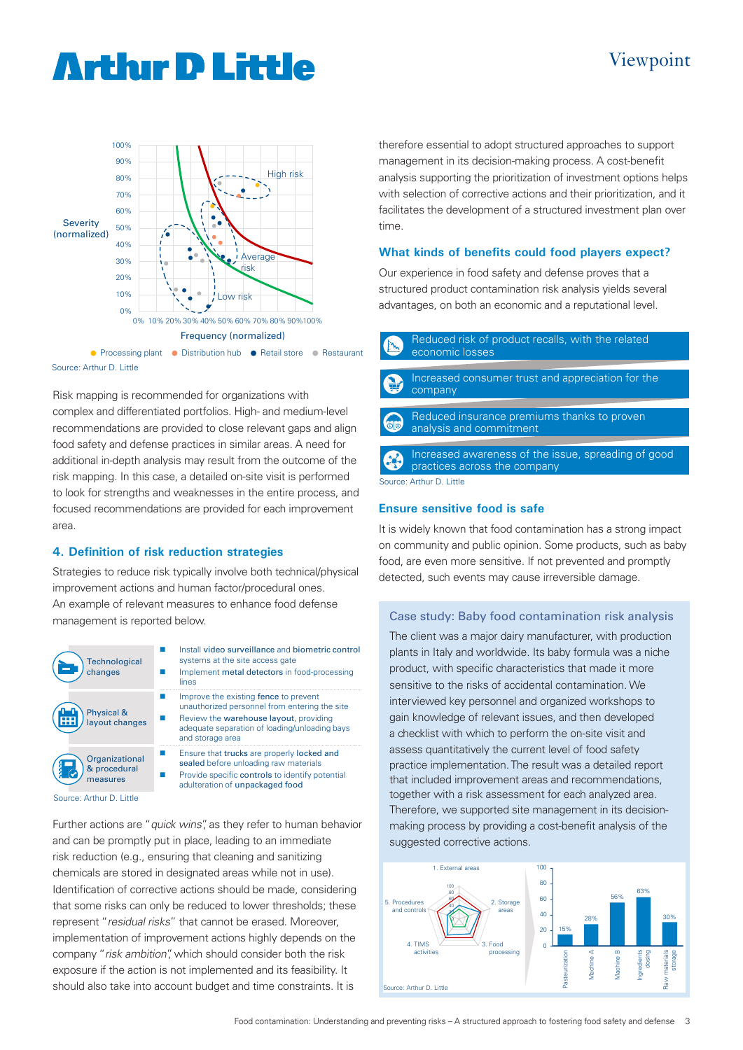### **Arthır D Little**

#### 100% 90% High risk 80% 70% 60% Severity 50% (normalized) , C 40% Average 30% risk 20% 10% Low risk 0% 0% 10% 20% 30% 40% 50% 60% 70% 80% 90%100% Frequency (normalized) ● Processing plant ● Distribution hub ● Retail store ● Restaurant

Source: Arthur D. Little

Risk mapping is recommended for organizations with complex and differentiated portfolios. High- and medium-level recommendations are provided to close relevant gaps and align food safety and defense practices in similar areas. A need for additional in-depth analysis may result from the outcome of the risk mapping. In this case, a detailed on-site visit is performed to look for strengths and weaknesses in the entire process, and focused recommendations are provided for each improvement area.

#### **4. Definition of risk reduction strategies**

Strategies to reduce risk typically involve both technical/physical improvement actions and human factor/procedural ones. An example of relevant measures to enhance food defense management is reported below.



Implement metal detectors in food-processing lines

systems at the site access gate

Install video surveillance and biometric control

- Improve the existing fence to prevent unauthorized personnel from entering the site Review the warehouse layout, providing
	- adequate separation of loading/unloading bays and storage area
- Ensure that trucks are properly locked and sealed before unloading raw materials
- Provide specific controls to identify potential adulteration of unpackaged food

Source: Arthur D. Little

Further actions are "quick wins", as they refer to human behavior and can be promptly put in place, leading to an immediate risk reduction (e.g., ensuring that cleaning and sanitizing chemicals are stored in designated areas while not in use). Identification of corrective actions should be made, considering that some risks can only be reduced to lower thresholds; these represent "residual risks" that cannot be erased. Moreover, implementation of improvement actions highly depends on the company "risk ambition", which should consider both the risk exposure if the action is not implemented and its feasibility. It should also take into account budget and time constraints. It is

therefore essential to adopt structured approaches to support management in its decision-making process. A cost-benefit analysis supporting the prioritization of investment options helps with selection of corrective actions and their prioritization, and it facilitates the development of a structured investment plan over time.

Viewpoint

#### **What kinds of benefits could food players expect?**

Our experience in food safety and defense proves that a structured product contamination risk analysis yields several advantages, on both an economic and a reputational level.



Reduced insurance premiums thanks to proven analysis and commitment

Increased awareness of the issue, spreading of good practices across the company

Source: Arthur D. Little

#### **Ensure sensitive food is safe**

It is widely known that food contamination has a strong impact on community and public opinion. Some products, such as baby food, are even more sensitive. If not prevented and promptly detected, such events may cause irreversible damage.

#### Case study: Baby food contamination risk analysis

The client was a major dairy manufacturer, with production plants in Italy and worldwide. Its baby formula was a niche product, with specific characteristics that made it more sensitive to the risks of accidental contamination. We interviewed key personnel and organized workshops to gain knowledge of relevant issues, and then developed a checklist with which to perform the on-site visit and assess quantitatively the current level of food safety practice implementation. The result was a detailed report that included improvement areas and recommendations, together with a risk assessment for each analyzed area. Therefore, we supported site management in its decisionmaking process by providing a cost-benefit analysis of the suggested corrective actions.